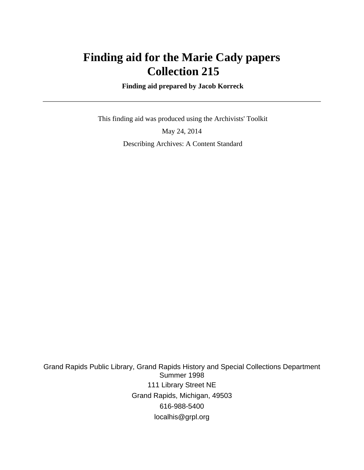# **Finding aid for the Marie Cady papers Collection 215**

 **Finding aid prepared by Jacob Korreck**

 This finding aid was produced using the Archivists' Toolkit May 24, 2014 Describing Archives: A Content Standard

Grand Rapids Public Library, Grand Rapids History and Special Collections Department Summer 1998 111 Library Street NE Grand Rapids, Michigan, 49503 616-988-5400 localhis@grpl.org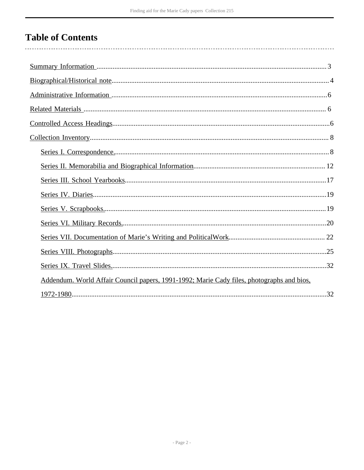# **Table of Contents**

| Addendum. World Affair Council papers, 1991-1992; Marie Cady files, photographs and bios, |  |
|-------------------------------------------------------------------------------------------|--|
|                                                                                           |  |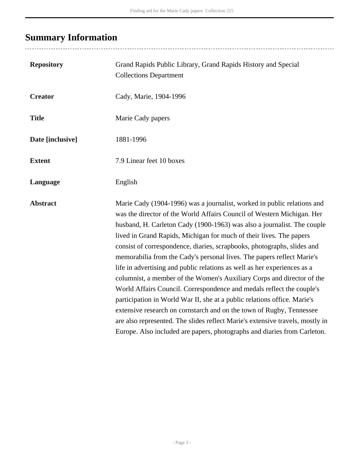# <span id="page-2-0"></span>**Summary Information**

| <b>Repository</b> | Grand Rapids Public Library, Grand Rapids History and Special<br><b>Collections Department</b>                                                                                                                                                                                                                                                                                                                                                                                                                                                                                                                                                                                                                                                                                                                                                                                                                                                                                                           |
|-------------------|----------------------------------------------------------------------------------------------------------------------------------------------------------------------------------------------------------------------------------------------------------------------------------------------------------------------------------------------------------------------------------------------------------------------------------------------------------------------------------------------------------------------------------------------------------------------------------------------------------------------------------------------------------------------------------------------------------------------------------------------------------------------------------------------------------------------------------------------------------------------------------------------------------------------------------------------------------------------------------------------------------|
| <b>Creator</b>    | Cady, Marie, 1904-1996                                                                                                                                                                                                                                                                                                                                                                                                                                                                                                                                                                                                                                                                                                                                                                                                                                                                                                                                                                                   |
| <b>Title</b>      | Marie Cady papers                                                                                                                                                                                                                                                                                                                                                                                                                                                                                                                                                                                                                                                                                                                                                                                                                                                                                                                                                                                        |
| Date [inclusive]  | 1881-1996                                                                                                                                                                                                                                                                                                                                                                                                                                                                                                                                                                                                                                                                                                                                                                                                                                                                                                                                                                                                |
| <b>Extent</b>     | 7.9 Linear feet 10 boxes                                                                                                                                                                                                                                                                                                                                                                                                                                                                                                                                                                                                                                                                                                                                                                                                                                                                                                                                                                                 |
| Language          | English                                                                                                                                                                                                                                                                                                                                                                                                                                                                                                                                                                                                                                                                                                                                                                                                                                                                                                                                                                                                  |
| <b>Abstract</b>   | Marie Cady (1904-1996) was a journalist, worked in public relations and<br>was the director of the World Affairs Council of Western Michigan. Her<br>husband, H. Carleton Cady (1900-1963) was also a journalist. The couple<br>lived in Grand Rapids, Michigan for much of their lives. The papers<br>consist of correspondence, diaries, scrapbooks, photographs, slides and<br>memorabilia from the Cady's personal lives. The papers reflect Marie's<br>life in advertising and public relations as well as her experiences as a<br>columnist, a member of the Women's Auxiliary Corps and director of the<br>World Affairs Council. Correspondence and medals reflect the couple's<br>participation in World War II, she at a public relations office. Marie's<br>extensive research on cornstarch and on the town of Rugby, Tennessee<br>are also represented. The slides reflect Marie's extensive travels, mostly in<br>Europe. Also included are papers, photographs and diaries from Carleton. |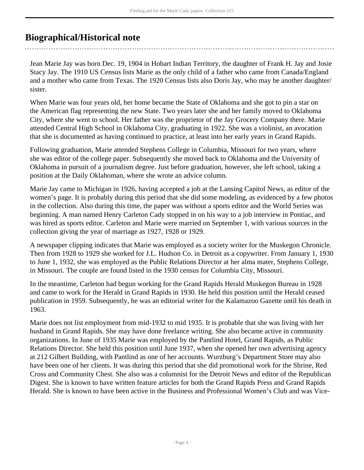# <span id="page-3-0"></span>**Biographical/Historical note**

Jean Marie Jay was born Dec. 19, 1904 in Hobart Indian Territory, the daughter of Frank H. Jay and Josie Stacy Jay. The 1910 US Census lists Marie as the only child of a father who came from Canada/England and a mother who came from Texas. The 1920 Census lists also Doris Jay, who may be another daughter/ sister.

When Marie was four years old, her home became the State of Oklahoma and she got to pin a star on the American flag representing the new State. Two years later she and her family moved to Oklahoma City, where she went to school. Her father was the proprietor of the Jay Grocery Company there. Marie attended Central High School in Oklahoma City, graduating in 1922. She was a violinist, an avocation that she is documented as having continued to practice, at least into her early years in Grand Rapids.

Following graduation, Marie attended Stephens College in Columbia, Missouri for two years, where she was editor of the college paper. Subsequently she moved back to Oklahoma and the University of Oklahoma in pursuit of a journalism degree. Just before graduation, however, she left school, taking a position at the Daily Oklahoman, where she wrote an advice column.

Marie Jay came to Michigan in 1926, having accepted a job at the Lansing Capitol News, as editor of the women's page. It is probably during this period that she did some modeling, as evidenced by a few photos in the collection. Also during this time, the paper was without a sports editor and the World Series was beginning. A man named Henry Carleton Cady stopped in on his way to a job interview in Pontiac, and was hired as sports editor. Carleton and Marie were married on September 1, with various sources in the collection giving the year of marriage as 1927, 1928 or 1929.

A newspaper clipping indicates that Marie was employed as a society writer for the Muskegon Chronicle. Then from 1928 to 1929 she worked for J.L. Hudson Co. in Detroit as a copywriter. From January 1, 1930 to June 1, 1932, she was employed as the Public Relations Director at her alma mater, Stephens College, in Missouri. The couple are found listed in the 1930 census for Columbia City, Missouri.

In the meantime, Carleton had begun working for the Grand Rapids Herald Muskegon Bureau in 1928 and came to work for the Herald in Grand Rapids in 1930. He held this position until the Herald ceased publication in 1959. Subsequently, he was an editorial writer for the Kalamazoo Gazette until his death in 1963.

Marie does not list employment from mid-1932 to mid 1935. It is probable that she was living with her husband in Grand Rapids. She may have done freelance writing. She also became active in community organizations. In June of 1935 Marie was employed by the Pantlind Hotel, Grand Rapids, as Public Relations Director. She held this position until June 1937, when she opened her own advertising agency at 212 Gilbert Building, with Pantlind as one of her accounts. Wurzburg's Department Store may also have been one of her clients. It was during this period that she did promotional work for the Shrine, Red Cross and Community Chest. She also was a columnist for the Detroit News and editor of the Republican Digest. She is known to have written feature articles for both the Grand Rapids Press and Grand Rapids Herald. She is known to have been active in the Business and Professional Women's Club and was Vice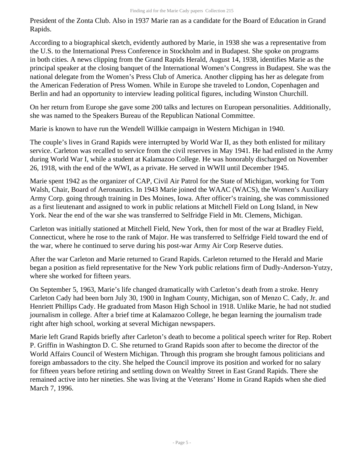President of the Zonta Club. Also in 1937 Marie ran as a candidate for the Board of Education in Grand Rapids.

According to a biographical sketch, evidently authored by Marie, in 1938 she was a representative from the U.S. to the International Press Conference in Stockholm and in Budapest. She spoke on programs in both cities. A news clipping from the Grand Rapids Herald, August 14, 1938, identifies Marie as the principal speaker at the closing banquet of the International Women's Congress in Budapest. She was the national delegate from the Women's Press Club of America. Another clipping has her as delegate from the American Federation of Press Women. While in Europe she traveled to London, Copenhagen and Berlin and had an opportunity to interview leading political figures, including Winston Churchill.

On her return from Europe she gave some 200 talks and lectures on European personalities. Additionally, she was named to the Speakers Bureau of the Republican National Committee.

Marie is known to have run the Wendell Willkie campaign in Western Michigan in 1940.

The couple's lives in Grand Rapids were interrupted by World War II, as they both enlisted for military service. Carleton was recalled to service from the civil reserves in May 1941. He had enlisted in the Army during World War I, while a student at Kalamazoo College. He was honorably discharged on November 26, 1918, with the end of the WWI, as a private. He served in WWII until December 1945.

Marie spent 1942 as the organizer of CAP, Civil Air Patrol for the State of Michigan, working for Tom Walsh, Chair, Board of Aeronautics. In 1943 Marie joined the WAAC (WACS), the Women's Auxiliary Army Corp. going through training in Des Moines, Iowa. After officer's training, she was commissioned as a first lieutenant and assigned to work in public relations at Mitchell Field on Long Island, in New York. Near the end of the war she was transferred to Selfridge Field in Mt. Clemens, Michigan.

Carleton was initially stationed at Mitchell Field, New York, then for most of the war at Bradley Field, Connecticut, where he rose to the rank of Major. He was transferred to Selfridge Field toward the end of the war, where he continued to serve during his post-war Army Air Corp Reserve duties.

After the war Carleton and Marie returned to Grand Rapids. Carleton returned to the Herald and Marie began a position as field representative for the New York public relations firm of Dudly-Anderson-Yutzy, where she worked for fifteen years.

On September 5, 1963, Marie's life changed dramatically with Carleton's death from a stroke. Henry Carleton Cady had been born July 30, 1900 in Ingham County, Michigan, son of Menzo C. Cady, Jr. and Henriett Phillips Cady. He graduated from Mason High School in 1918. Unlike Marie, he had not studied journalism in college. After a brief time at Kalamazoo College, he began learning the journalism trade right after high school, working at several Michigan newspapers.

Marie left Grand Rapids briefly after Carleton's death to become a political speech writer for Rep. Robert P. Griffin in Washington D. C. She returned to Grand Rapids soon after to become the director of the World Affairs Council of Western Michigan. Through this program she brought famous politicians and foreign ambassadors to the city. She helped the Council improve its position and worked for no salary for fifteen years before retiring and settling down on Wealthy Street in East Grand Rapids. There she remained active into her nineties. She was living at the Veterans' Home in Grand Rapids when she died March 7, 1996.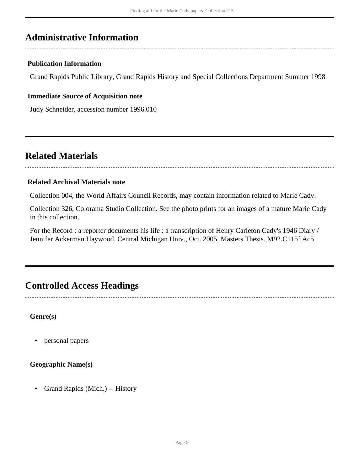# <span id="page-5-0"></span>**Administrative Information**

## **Publication Information**

Grand Rapids Public Library, Grand Rapids History and Special Collections Department Summer 1998

#### **Immediate Source of Acquisition note**

Judy Schneider, accession number 1996.010

# <span id="page-5-1"></span>**Related Materials**

#### **Related Archival Materials note**

Collection 004, the World Affairs Council Records, may contain information related to Marie Cady.

Collection 326, Colorama Studio Collection. See the photo prints for an images of a mature Marie Cady in this collection.

For the Record : a reporter documents his life : a transcription of Henry Carleton Cady's 1946 Diary / Jennifer Ackerman Haywood. Central Michigan Univ., Oct. 2005. Masters Thesis. M92.C115f Ac5

# <span id="page-5-2"></span>**Controlled Access Headings**

**Genre(s)**

• personal papers

#### **Geographic Name(s)**

• Grand Rapids (Mich.) -- History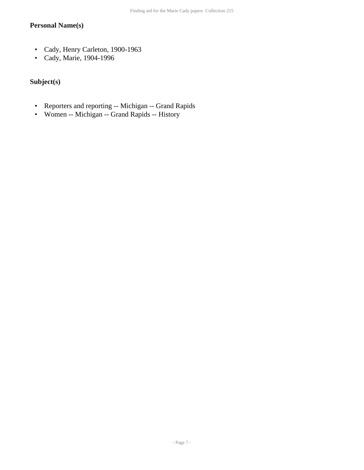# **Personal Name(s)**

- Cady, Henry Carleton, 1900-1963
- Cady, Marie, 1904-1996

# **Subject(s)**

- Reporters and reporting -- Michigan -- Grand Rapids
- Women -- Michigan -- Grand Rapids -- History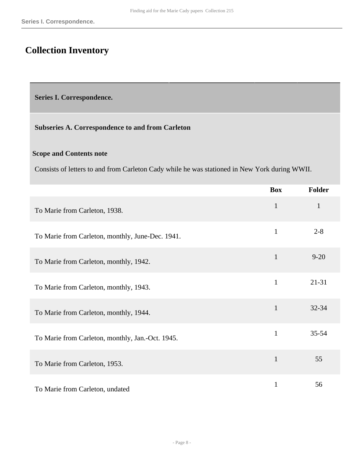# <span id="page-7-0"></span>**Collection Inventory**

<span id="page-7-1"></span>**Series I. Correspondence.** 

## **Subseries A. Correspondence to and from Carleton**

### **Scope and Contents note**

Consists of letters to and from Carleton Cady while he was stationed in New York during WWII.

|                                                  | <b>Box</b>   | <b>Folder</b> |
|--------------------------------------------------|--------------|---------------|
| To Marie from Carleton, 1938.                    | $\mathbf{1}$ | 1             |
| To Marie from Carleton, monthly, June-Dec. 1941. | $\mathbf{1}$ | $2 - 8$       |
| To Marie from Carleton, monthly, 1942.           | $\mathbf{1}$ | $9 - 20$      |
| To Marie from Carleton, monthly, 1943.           | $\mathbf{1}$ | $21 - 31$     |
| To Marie from Carleton, monthly, 1944.           | $\mathbf{1}$ | 32-34         |
| To Marie from Carleton, monthly, Jan.-Oct. 1945. | $\mathbf{1}$ | $35 - 54$     |
| To Marie from Carleton, 1953.                    | $\mathbf{1}$ | 55            |
| To Marie from Carleton, undated                  | $\mathbf{1}$ | 56            |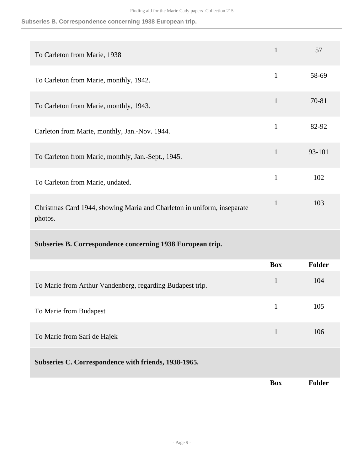# **Subseries B. Correspondence concerning 1938 European trip.**

| To Carleton from Marie, 1938                                                       | $\mathbf{1}$ | 57     |
|------------------------------------------------------------------------------------|--------------|--------|
| To Carleton from Marie, monthly, 1942.                                             | $\mathbf{1}$ | 58-69  |
| To Carleton from Marie, monthly, 1943.                                             | $\mathbf{1}$ | 70-81  |
| Carleton from Marie, monthly, Jan.-Nov. 1944.                                      | $\mathbf{1}$ | 82-92  |
| To Carleton from Marie, monthly, Jan.-Sept., 1945.                                 | $\mathbf{1}$ | 93-101 |
| To Carleton from Marie, undated.                                                   | $\mathbf{1}$ | 102    |
| Christmas Card 1944, showing Maria and Charleton in uniform, inseparate<br>photos. | $\mathbf{1}$ | 103    |
| Subseries B. Correspondence concerning 1938 European trip.                         |              |        |
|                                                                                    | <b>Box</b>   | Folder |
| To Marie from Arthur Vandenberg, regarding Budapest trip.                          | $\mathbf{1}$ | 104    |
| To Marie from Budapest                                                             | $\mathbf{1}$ | 105    |
| To Marie from Sari de Hajek                                                        | $\mathbf{1}$ | 106    |
| Subseries C. Correspondence with friends, 1938-1965.                               |              |        |
|                                                                                    | <b>Box</b>   | Folder |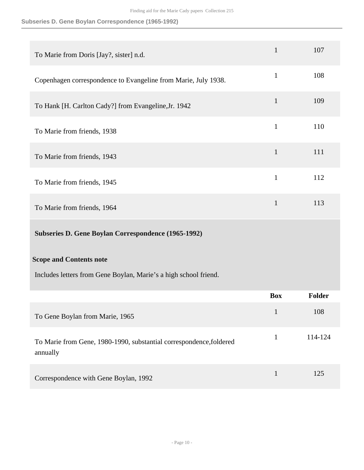# **Subseries D. Gene Boylan Correspondence (1965-1992)**

| To Marie from Doris [Jay?, sister] n.d.                                         | $\mathbf{1}$ | 107     |
|---------------------------------------------------------------------------------|--------------|---------|
| Copenhagen correspondence to Evangeline from Marie, July 1938.                  | $\mathbf{1}$ | 108     |
| To Hank [H. Carlton Cady?] from Evangeline, Jr. 1942                            | $\mathbf{1}$ | 109     |
| To Marie from friends, 1938                                                     | $\mathbf{1}$ | 110     |
| To Marie from friends, 1943                                                     | $\mathbf{1}$ | 111     |
| To Marie from friends, 1945                                                     | $\mathbf{1}$ | 112     |
| To Marie from friends, 1964                                                     | $\mathbf{1}$ | 113     |
| Subseries D. Gene Boylan Correspondence (1965-1992)                             |              |         |
| <b>Scope and Contents note</b>                                                  |              |         |
| Includes letters from Gene Boylan, Marie's a high school friend.                |              |         |
|                                                                                 | <b>Box</b>   | Folder  |
| To Gene Boylan from Marie, 1965                                                 | $\mathbf{1}$ | 108     |
| To Marie from Gene, 1980-1990, substantial correspondence, foldered<br>annually | $\mathbf{1}$ | 114-124 |
| Correspondence with Gene Boylan, 1992                                           | $\mathbf{1}$ | 125     |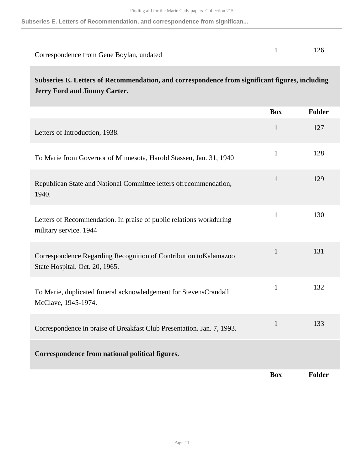**Subseries E. Letters of Recommendation, and correspondence from significan...**

| Correspondence from Gene Boylan, undated |  |
|------------------------------------------|--|

**Subseries E. Letters of Recommendation, and correspondence from significant figures, including Jerry Ford and Jimmy Carter.** 

|                                                                                                    | <b>Box</b>   | Folder |
|----------------------------------------------------------------------------------------------------|--------------|--------|
| Letters of Introduction, 1938.                                                                     | $\mathbf{1}$ | 127    |
| To Marie from Governor of Minnesota, Harold Stassen, Jan. 31, 1940                                 | $\mathbf{1}$ | 128    |
| Republican State and National Committee letters of recommendation,<br>1940.                        | $\mathbf{1}$ | 129    |
| Letters of Recommendation. In praise of public relations workduring<br>military service. 1944      | $\mathbf{1}$ | 130    |
| Correspondence Regarding Recognition of Contribution toKalamazoo<br>State Hospital. Oct. 20, 1965. | $\mathbf{1}$ | 131    |
| To Marie, duplicated funeral acknowledgement for StevensCrandall<br>McClave, 1945-1974.            | $\mathbf{1}$ | 132    |
| Correspondence in praise of Breakfast Club Presentation. Jan. 7, 1993.                             | $\mathbf{1}$ | 133    |
| Correspondence from national political figures.                                                    |              |        |
|                                                                                                    | <b>Box</b>   | Folder |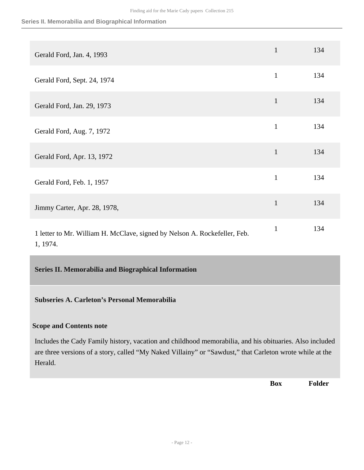#### **Series II. Memorabilia and Biographical Information**

| Gerald Ford, Jan. 4, 1993                                                             | $\mathbf{1}$ | 134 |
|---------------------------------------------------------------------------------------|--------------|-----|
| Gerald Ford, Sept. 24, 1974                                                           | $\mathbf{1}$ | 134 |
| Gerald Ford, Jan. 29, 1973                                                            | $\mathbf{1}$ | 134 |
| Gerald Ford, Aug. 7, 1972                                                             | $\mathbf{1}$ | 134 |
| Gerald Ford, Apr. 13, 1972                                                            | $\mathbf{1}$ | 134 |
| Gerald Ford, Feb. 1, 1957                                                             | $\mathbf{1}$ | 134 |
| Jimmy Carter, Apr. 28, 1978,                                                          | $\mathbf{1}$ | 134 |
| 1 letter to Mr. William H. McClave, signed by Nelson A. Rockefeller, Feb.<br>1, 1974. | $\mathbf{1}$ | 134 |

<span id="page-11-0"></span>**Series II. Memorabilia and Biographical Information** 

#### **Subseries A. Carleton's Personal Memorabilia**

#### **Scope and Contents note**

Includes the Cady Family history, vacation and childhood memorabilia, and his obituaries. Also included are three versions of a story, called "My Naked Villainy" or "Sawdust," that Carleton wrote while at the Herald.

**Box Folder**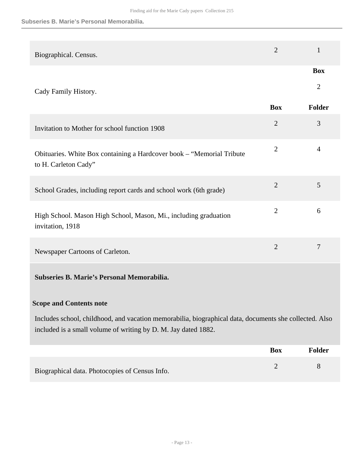#### **Subseries B. Marie's Personal Memorabilia.**

| 2<br>1<br>Biographical. Census.<br><b>Box</b><br>$\overline{2}$<br>Cady Family History.<br><b>Box</b><br>Folder<br>$\overline{2}$<br>3<br>Invitation to Mother for school function 1908<br>$\mathbf{2}$<br>4<br>Obituaries. White Box containing a Hardcover book - "Memorial Tribute<br>to H. Carleton Cady"<br>$\overline{2}$<br>5<br>School Grades, including report cards and school work (6th grade)<br>$\overline{2}$<br>6<br>High School. Mason High School, Mason, Mi., including graduation<br>invitation, 1918<br>$\overline{2}$<br>7<br>Newspaper Cartoons of Carleton.<br>Subseries B. Marie's Personal Memorabilia.<br><b>Scope and Contents note</b><br>Includes school, childhood, and vacation memorabilia, biographical data, documents she collected. Also<br>included is a small volume of writing by D. M. Jay dated 1882.<br><b>Box</b><br>Folder |  |  |
|------------------------------------------------------------------------------------------------------------------------------------------------------------------------------------------------------------------------------------------------------------------------------------------------------------------------------------------------------------------------------------------------------------------------------------------------------------------------------------------------------------------------------------------------------------------------------------------------------------------------------------------------------------------------------------------------------------------------------------------------------------------------------------------------------------------------------------------------------------------------|--|--|
|                                                                                                                                                                                                                                                                                                                                                                                                                                                                                                                                                                                                                                                                                                                                                                                                                                                                        |  |  |
|                                                                                                                                                                                                                                                                                                                                                                                                                                                                                                                                                                                                                                                                                                                                                                                                                                                                        |  |  |
|                                                                                                                                                                                                                                                                                                                                                                                                                                                                                                                                                                                                                                                                                                                                                                                                                                                                        |  |  |
|                                                                                                                                                                                                                                                                                                                                                                                                                                                                                                                                                                                                                                                                                                                                                                                                                                                                        |  |  |
|                                                                                                                                                                                                                                                                                                                                                                                                                                                                                                                                                                                                                                                                                                                                                                                                                                                                        |  |  |
|                                                                                                                                                                                                                                                                                                                                                                                                                                                                                                                                                                                                                                                                                                                                                                                                                                                                        |  |  |
|                                                                                                                                                                                                                                                                                                                                                                                                                                                                                                                                                                                                                                                                                                                                                                                                                                                                        |  |  |
|                                                                                                                                                                                                                                                                                                                                                                                                                                                                                                                                                                                                                                                                                                                                                                                                                                                                        |  |  |
|                                                                                                                                                                                                                                                                                                                                                                                                                                                                                                                                                                                                                                                                                                                                                                                                                                                                        |  |  |
|                                                                                                                                                                                                                                                                                                                                                                                                                                                                                                                                                                                                                                                                                                                                                                                                                                                                        |  |  |
|                                                                                                                                                                                                                                                                                                                                                                                                                                                                                                                                                                                                                                                                                                                                                                                                                                                                        |  |  |
|                                                                                                                                                                                                                                                                                                                                                                                                                                                                                                                                                                                                                                                                                                                                                                                                                                                                        |  |  |
|                                                                                                                                                                                                                                                                                                                                                                                                                                                                                                                                                                                                                                                                                                                                                                                                                                                                        |  |  |

Biographical data. Photocopies of Census Info. 2 8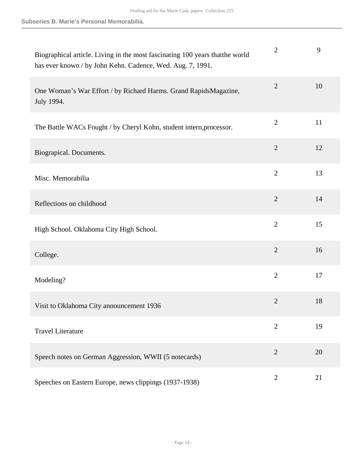| Biographical article. Living in the most fascinating 100 years that the world<br>has ever known / by John Kehn. Cadence, Wed. Aug. 7, 1991. | $\overline{2}$ | 9  |
|---------------------------------------------------------------------------------------------------------------------------------------------|----------------|----|
| One Woman's War Effort / by Richard Harms. Grand RapidsMagazine,<br>July 1994.                                                              | $\overline{2}$ | 10 |
| The Battle WACs Fought / by Cheryl Kohn, student intern, processor.                                                                         | $\overline{2}$ | 11 |
| Biograpical. Documents.                                                                                                                     | $\overline{2}$ | 12 |
| Misc. Memorabilia                                                                                                                           | $\overline{2}$ | 13 |
| Reflections on childhood                                                                                                                    | $\overline{2}$ | 14 |
| High School. Oklahoma City High School.                                                                                                     | $\overline{2}$ | 15 |
| College.                                                                                                                                    | $\overline{2}$ | 16 |
| Modeling?                                                                                                                                   | $\overline{2}$ | 17 |
| Visit to Oklahoma City announcement 1936                                                                                                    | $\overline{2}$ | 18 |
| <b>Travel Literature</b>                                                                                                                    | $\overline{2}$ | 19 |
| Speech notes on German Aggression, WWII (5 notecards)                                                                                       | $\overline{2}$ | 20 |
| Speeches on Eastern Europe, news clippings (1937-1938)                                                                                      | $\overline{2}$ | 21 |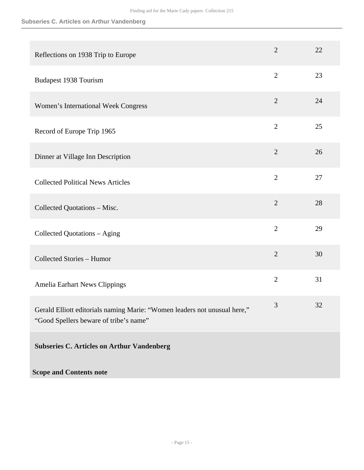# **Subseries C. Articles on Arthur Vandenberg**

| Reflections on 1938 Trip to Europe                                                                                  | $\overline{2}$ | 22 |
|---------------------------------------------------------------------------------------------------------------------|----------------|----|
| <b>Budapest 1938 Tourism</b>                                                                                        | $\overline{2}$ | 23 |
| Women's International Week Congress                                                                                 | $\overline{2}$ | 24 |
| Record of Europe Trip 1965                                                                                          | $\overline{2}$ | 25 |
| Dinner at Village Inn Description                                                                                   | $\overline{2}$ | 26 |
| <b>Collected Political News Articles</b>                                                                            | $\overline{2}$ | 27 |
| Collected Quotations - Misc.                                                                                        | $\overline{2}$ | 28 |
| Collected Quotations - Aging                                                                                        | $\overline{2}$ | 29 |
| <b>Collected Stories - Humor</b>                                                                                    | $\overline{2}$ | 30 |
| Amelia Earhart News Clippings                                                                                       | $\overline{2}$ | 31 |
| Gerald Elliott editorials naming Marie: "Women leaders not unusual here,"<br>"Good Spellers beware of tribe's name" | 3              | 32 |
| <b>Subseries C. Articles on Arthur Vandenberg</b>                                                                   |                |    |
| <b>Scope and Contents note</b>                                                                                      |                |    |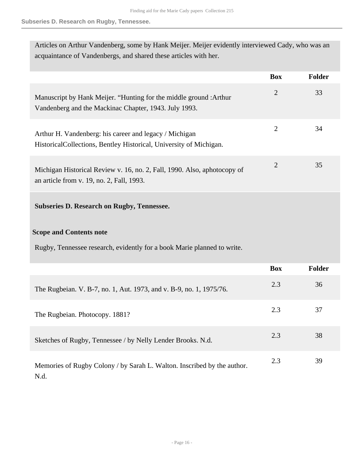# **Subseries D. Research on Rugby, Tennessee.**

| Articles on Arthur Vandenberg, some by Hank Meijer. Meijer evidently interviewed Cady, who was an |
|---------------------------------------------------------------------------------------------------|
| acquaintance of Vandenbergs, and shared these articles with her.                                  |

|                                                                                                                              | <b>Box</b>     | Folder        |
|------------------------------------------------------------------------------------------------------------------------------|----------------|---------------|
| Manuscript by Hank Meijer. "Hunting for the middle ground :Arthur<br>Vandenberg and the Mackinac Chapter, 1943. July 1993.   | $\overline{2}$ | 33            |
| Arthur H. Vandenberg: his career and legacy / Michigan<br>HistoricalCollections, Bentley Historical, University of Michigan. | $\overline{2}$ | 34            |
| Michigan Historical Review v. 16, no. 2, Fall, 1990. Also, aphotocopy of<br>an article from v. 19, no. 2, Fall, 1993.        | $\overline{2}$ | 35            |
| <b>Subseries D. Research on Rugby, Tennessee.</b>                                                                            |                |               |
| <b>Scope and Contents note</b>                                                                                               |                |               |
| Rugby, Tennessee research, evidently for a book Marie planned to write.                                                      |                |               |
|                                                                                                                              | <b>Box</b>     | <b>Folder</b> |
| The Rugbeian. V. B-7, no. 1, Aut. 1973, and v. B-9, no. 1, 1975/76.                                                          | 2.3            | 36            |
| The Rugbeian. Photocopy. 1881?                                                                                               | 2.3            | 37            |
| Sketches of Rugby, Tennessee / by Nelly Lender Brooks. N.d.                                                                  | 2.3            | 38            |
| Memories of Rugby Colony / by Sarah L. Walton. Inscribed by the author.                                                      | 2.3            | 39            |

N.d.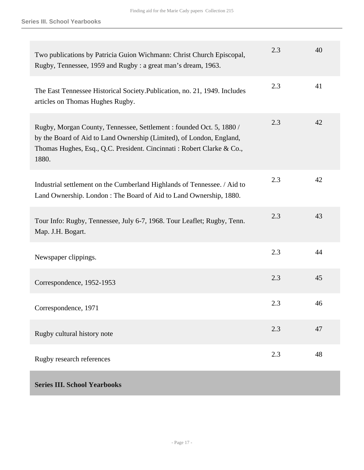<span id="page-16-0"></span>

| Two publications by Patricia Guion Wichmann: Christ Church Episcopal,<br>Rugby, Tennessee, 1959 and Rugby: a great man's dream, 1963.                                                                                          | 2.3 | 40 |
|--------------------------------------------------------------------------------------------------------------------------------------------------------------------------------------------------------------------------------|-----|----|
| The East Tennessee Historical Society. Publication, no. 21, 1949. Includes<br>articles on Thomas Hughes Rugby.                                                                                                                 | 2.3 | 41 |
| Rugby, Morgan County, Tennessee, Settlement : founded Oct. 5, 1880 /<br>by the Board of Aid to Land Ownership (Limited), of London, England,<br>Thomas Hughes, Esq., Q.C. President. Cincinnati: Robert Clarke & Co.,<br>1880. | 2.3 | 42 |
| Industrial settlement on the Cumberland Highlands of Tennessee. / Aid to<br>Land Ownership. London: The Board of Aid to Land Ownership, 1880.                                                                                  | 2.3 | 42 |
| Tour Info: Rugby, Tennessee, July 6-7, 1968. Tour Leaflet; Rugby, Tenn.<br>Map. J.H. Bogart.                                                                                                                                   | 2.3 | 43 |
| Newspaper clippings.                                                                                                                                                                                                           | 2.3 | 44 |
| Correspondence, 1952-1953                                                                                                                                                                                                      | 2.3 | 45 |
| Correspondence, 1971                                                                                                                                                                                                           | 2.3 | 46 |
| Rugby cultural history note                                                                                                                                                                                                    | 2.3 | 47 |
| Rugby research references                                                                                                                                                                                                      | 2.3 | 48 |
| <b>Series III. School Yearbooks</b>                                                                                                                                                                                            |     |    |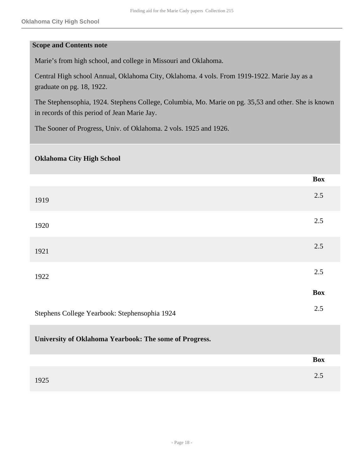#### **Scope and Contents note**

Marie's from high school, and college in Missouri and Oklahoma.

Central High school Annual, Oklahoma City, Oklahoma. 4 vols. From 1919-1922. Marie Jay as a graduate on pg. 18, 1922.

The Stephensophia, 1924. Stephens College, Columbia, Mo. Marie on pg. 35,53 and other. She is known in records of this period of Jean Marie Jay.

The Sooner of Progress, Univ. of Oklahoma. 2 vols. 1925 and 1926.

#### **Oklahoma City High School**

|                                                        | <b>Box</b> |
|--------------------------------------------------------|------------|
| 1919                                                   | 2.5        |
| 1920                                                   | 2.5        |
| 1921                                                   | 2.5        |
| 1922                                                   | 2.5        |
|                                                        | <b>Box</b> |
| Stephens College Yearbook: Stephensophia 1924          | 2.5        |
| University of Oklahoma Yearbook: The some of Progress. |            |

 $1925$  2.5

**Box**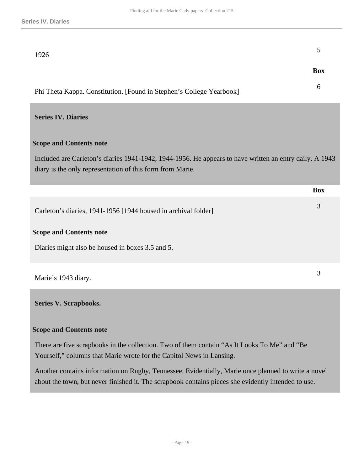<span id="page-18-1"></span><span id="page-18-0"></span>

| 1926                                                                                                                                                                                                       | 5          |
|------------------------------------------------------------------------------------------------------------------------------------------------------------------------------------------------------------|------------|
|                                                                                                                                                                                                            | <b>Box</b> |
| Phi Theta Kappa. Constitution. [Found in Stephen's College Yearbook]                                                                                                                                       | 6          |
| <b>Series IV. Diaries</b>                                                                                                                                                                                  |            |
| <b>Scope and Contents note</b>                                                                                                                                                                             |            |
| Included are Carleton's diaries 1941-1942, 1944-1956. He appears to have written an entry daily. A 1943<br>diary is the only representation of this form from Marie.                                       |            |
|                                                                                                                                                                                                            | <b>Box</b> |
| Carleton's diaries, 1941-1956 [1944 housed in archival folder]                                                                                                                                             | 3          |
| <b>Scope and Contents note</b>                                                                                                                                                                             |            |
| Diaries might also be housed in boxes 3.5 and 5.                                                                                                                                                           |            |
| Marie's 1943 diary.                                                                                                                                                                                        | 3          |
| <b>Series V. Scrapbooks.</b>                                                                                                                                                                               |            |
| <b>Scope and Contents note</b>                                                                                                                                                                             |            |
| There are five scrapbooks in the collection. Two of them contain "As It Looks To Me" and "Be<br>Yourself," columns that Marie wrote for the Capitol News in Lansing.                                       |            |
| Another contains information on Rugby, Tennessee. Evidentially, Marie once planned to write a novel<br>about the town, but never finished it. The scrapbook contains pieces she evidently intended to use. |            |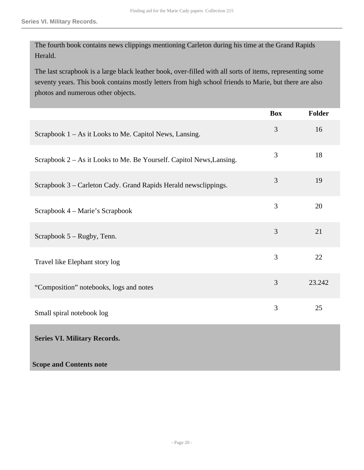<span id="page-19-0"></span>**Scope and Contents note**

The fourth book contains news clippings mentioning Carleton during his time at the Grand Rapids Herald.

The last scrapbook is a large black leather book, over-filled with all sorts of items, representing some seventy years. This book contains mostly letters from high school friends to Marie, but there are also photos and numerous other objects.

|                                                                      | <b>Box</b> | Folder |
|----------------------------------------------------------------------|------------|--------|
| Scrapbook 1 - As it Looks to Me. Capitol News, Lansing.              | 3          | 16     |
| Scrapbook 2 – As it Looks to Me. Be Yourself. Capitol News, Lansing. | 3          | 18     |
| Scrapbook 3 – Carleton Cady. Grand Rapids Herald newsclippings.      | 3          | 19     |
| Scrapbook 4 – Marie's Scrapbook                                      | 3          | 20     |
| Scrapbook 5 – Rugby, Tenn.                                           | 3          | 21     |
| Travel like Elephant story log                                       | 3          | 22     |
| "Composition" notebooks, logs and notes                              | 3          | 23.242 |
| Small spiral notebook log                                            | 3          | 25     |
| <b>Series VI. Military Records.</b>                                  |            |        |
|                                                                      |            |        |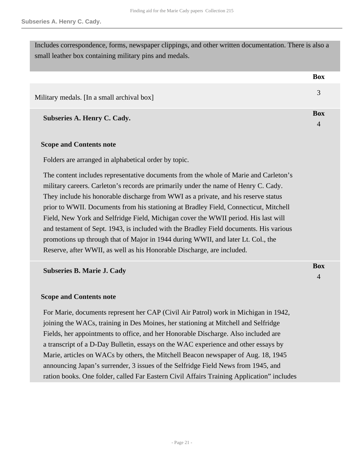Includes correspondence, forms, newspaper clippings, and other written documentation. There is also a small leather box containing military pins and medals.

**Box**

**Box** 4

**Box** 4

| Military medals. [In a small archival box] |  |
|--------------------------------------------|--|

**Subseries A. Henry C. Cady.** 

#### **Scope and Contents note**

Folders are arranged in alphabetical order by topic.

The content includes representative documents from the whole of Marie and Carleton's military careers. Carleton's records are primarily under the name of Henry C. Cady. They include his honorable discharge from WWI as a private, and his reserve status prior to WWII. Documents from his stationing at Bradley Field, Connecticut, Mitchell Field, New York and Selfridge Field, Michigan cover the WWII period. His last will and testament of Sept. 1943, is included with the Bradley Field documents. His various promotions up through that of Major in 1944 during WWII, and later Lt. Col., the Reserve, after WWII, as well as his Honorable Discharge, are included.

**Subseries B. Marie J. Cady** 

#### **Scope and Contents note**

For Marie, documents represent her CAP (Civil Air Patrol) work in Michigan in 1942, joining the WACs, training in Des Moines, her stationing at Mitchell and Selfridge Fields, her appointments to office, and her Honorable Discharge. Also included are a transcript of a D-Day Bulletin, essays on the WAC experience and other essays by Marie, articles on WACs by others, the Mitchell Beacon newspaper of Aug. 18, 1945 announcing Japan's surrender, 3 issues of the Selfridge Field News from 1945, and ration books. One folder, called Far Eastern Civil Affairs Training Application" includes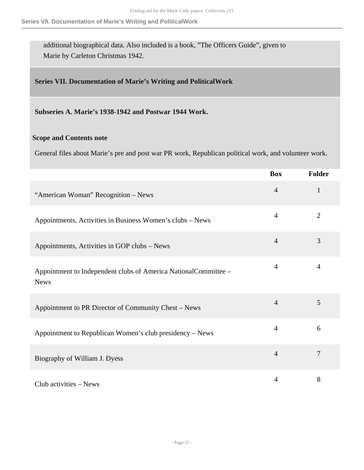additional biographical data. Also included is a book, "The Officers Guide", given to Marie by Carleton Christmas 1942.

### <span id="page-21-0"></span>**Series VII. Documentation of Marie's Writing and PoliticalWork**

**Subseries A. Marie's 1938-1942 and Postwar 1944 Work.** 

#### **Scope and Contents note**

General files about Marie's pre and post war PR work, Republican political work, and volunteer work.

|                                                                                | <b>Box</b>     | Folder         |
|--------------------------------------------------------------------------------|----------------|----------------|
| "American Woman" Recognition - News                                            | $\overline{4}$ | $\mathbf{1}$   |
| Appointments, Activities in Business Women's clubs – News                      | $\overline{4}$ | $\overline{2}$ |
| Appointments, Activities in GOP clubs – News                                   | $\overline{4}$ | 3              |
| Appointment to Independent clubs of America NationalCommittee -<br><b>News</b> | $\overline{4}$ | $\overline{4}$ |
| Appointment to PR Director of Community Chest – News                           | $\overline{4}$ | 5              |
| Appointment to Republican Women's club presidency – News                       | $\overline{4}$ | 6              |
| Biography of William J. Dyess                                                  | $\overline{4}$ | $\overline{7}$ |
| Club activities $-$ News                                                       | $\overline{4}$ | 8              |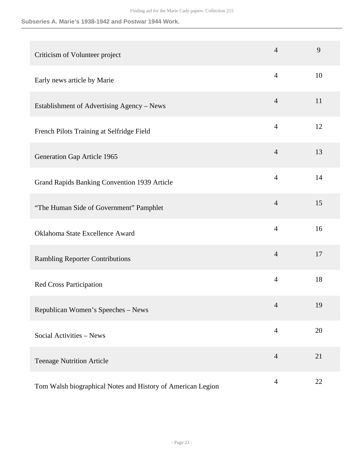#### **Subseries A. Marie's 1938-1942 and Postwar 1944 Work.**

| Criticism of Volunteer project                              | $\overline{4}$ | 9  |
|-------------------------------------------------------------|----------------|----|
| Early news article by Marie                                 | $\overline{4}$ | 10 |
| Establishment of Advertising Agency - News                  | $\overline{4}$ | 11 |
| French Pilots Training at Selfridge Field                   | $\overline{4}$ | 12 |
| Generation Gap Article 1965                                 | $\overline{4}$ | 13 |
| Grand Rapids Banking Convention 1939 Article                | $\overline{4}$ | 14 |
| "The Human Side of Government" Pamphlet                     | $\overline{4}$ | 15 |
| Oklahoma State Excellence Award                             | $\overline{4}$ | 16 |
| <b>Rambling Reporter Contributions</b>                      | $\overline{4}$ | 17 |
| <b>Red Cross Participation</b>                              | $\overline{4}$ | 18 |
| Republican Women's Speeches - News                          | $\overline{4}$ | 19 |
| Social Activities - News                                    | $\overline{4}$ | 20 |
| <b>Teenage Nutrition Article</b>                            | $\overline{4}$ | 21 |
| Tom Walsh biographical Notes and History of American Legion | $\overline{4}$ | 22 |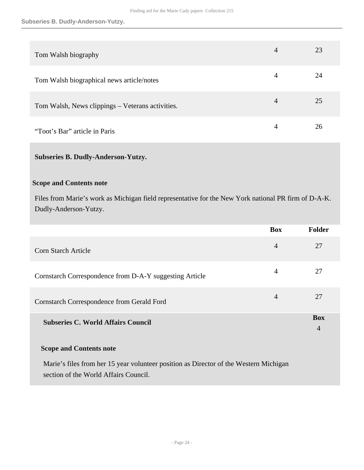| Tom Walsh biography                              | 4 | 23 |
|--------------------------------------------------|---|----|
| Tom Walsh biographical news article/notes        | 4 | 24 |
| Tom Walsh, News clippings - Veterans activities. | 4 | 25 |
| "Toot's Bar" article in Paris                    | 4 | 26 |

## **Subseries B. Dudly-Anderson-Yutzy.**

#### **Scope and Contents note**

Files from Marie's work as Michigan field representative for the New York national PR firm of D-A-K. Dudly-Anderson-Yutzy.

|                                                         | <b>Box</b>     | <b>Folder</b>                |
|---------------------------------------------------------|----------------|------------------------------|
| Corn Starch Article                                     | $\overline{4}$ | 27                           |
| Cornstarch Correspondence from D-A-Y suggesting Article | $\overline{4}$ | 27                           |
| Cornstarch Correspondence from Gerald Ford              | $\overline{4}$ | 27                           |
| <b>Subseries C. World Affairs Council</b>               |                | <b>Box</b><br>$\overline{4}$ |

### **Scope and Contents note**

Marie's files from her 15 year volunteer position as Director of the Western Michigan section of the World Affairs Council.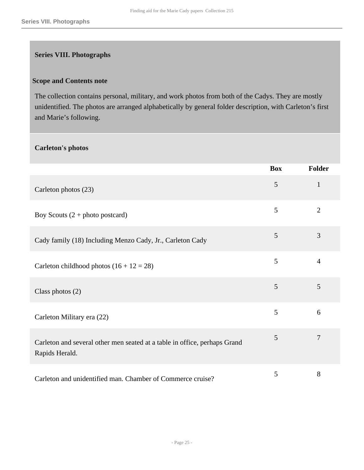# <span id="page-24-0"></span>**Series VIII. Photographs**

#### **Scope and Contents note**

The collection contains personal, military, and work photos from both of the Cadys. They are mostly unidentified. The photos are arranged alphabetically by general folder description, with Carleton's first and Marie's following.

#### **Carleton's photos**

|                                                                                             | <b>Box</b> | <b>Folder</b>  |
|---------------------------------------------------------------------------------------------|------------|----------------|
| Carleton photos (23)                                                                        | 5          | $\mathbf{1}$   |
| Boy Scouts $(2 + photo$ postcard)                                                           | 5          | $\overline{2}$ |
| Cady family (18) Including Menzo Cady, Jr., Carleton Cady                                   | 5          | 3              |
| Carleton childhood photos $(16 + 12 = 28)$                                                  | 5          | $\overline{4}$ |
| Class photos $(2)$                                                                          | 5          | 5              |
| Carleton Military era (22)                                                                  | 5          | 6              |
| Carleton and several other men seated at a table in office, perhaps Grand<br>Rapids Herald. | 5          | $\overline{7}$ |
| Carleton and unidentified man. Chamber of Commerce cruise?                                  | 5          | 8              |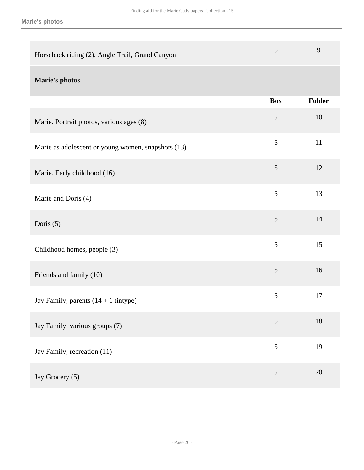| Horseback riding (2), Angle Trail, Grand Canyon    | 5              | 9      |
|----------------------------------------------------|----------------|--------|
| <b>Marie's photos</b>                              |                |        |
|                                                    | <b>Box</b>     | Folder |
| Marie. Portrait photos, various ages (8)           | 5              | 10     |
| Marie as adolescent or young women, snapshots (13) | $\mathfrak{S}$ | 11     |
| Marie. Early childhood (16)                        | 5              | 12     |
| Marie and Doris (4)                                | 5              | 13     |
| Doris $(5)$                                        | 5              | 14     |
| Childhood homes, people (3)                        | 5              | 15     |
| Friends and family (10)                            | $\mathfrak{S}$ | 16     |
| Jay Family, parents $(14 + 1$ tintype)             | 5              | 17     |
| Jay Family, various groups (7)                     | 5              | 18     |
| Jay Family, recreation (11)                        | 5              | 19     |
| Jay Grocery (5)                                    | $\mathfrak{S}$ | 20     |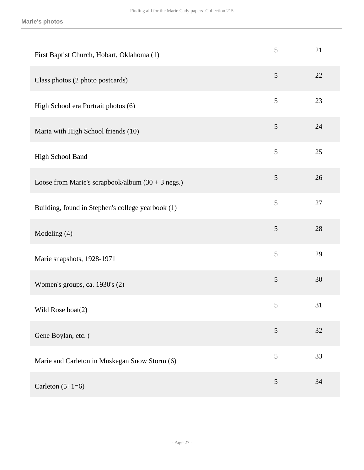| First Baptist Church, Hobart, Oklahoma (1)          | 5              | 21 |
|-----------------------------------------------------|----------------|----|
| Class photos (2 photo postcards)                    | 5              | 22 |
| High School era Portrait photos (6)                 | 5              | 23 |
| Maria with High School friends (10)                 | 5              | 24 |
| High School Band                                    | 5              | 25 |
| Loose from Marie's scrapbook/album $(30 + 3$ negs.) | 5              | 26 |
| Building, found in Stephen's college yearbook (1)   | 5              | 27 |
| Modeling (4)                                        | 5              | 28 |
| Marie snapshots, 1928-1971                          | 5              | 29 |
| Women's groups, ca. 1930's (2)                      | $\mathfrak{S}$ | 30 |
| Wild Rose boat(2)                                   | $\mathfrak s$  | 31 |
| Gene Boylan, etc. (                                 | 5              | 32 |
| Marie and Carleton in Muskegan Snow Storm (6)       | 5              | 33 |
| Carleton $(5+1=6)$                                  | 5              | 34 |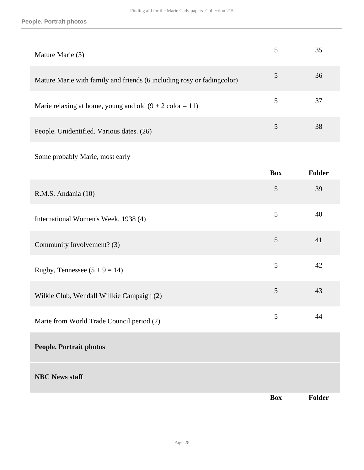# **People. Portrait photos**

| Mature Marie (3)                                                       | 35 |
|------------------------------------------------------------------------|----|
| Mature Marie with family and friends (6 including rosy or fadingcolor) | 36 |
| Marie relaxing at home, young and old $(9 + 2 \text{ color} = 11)$     | 37 |
| People. Unidentified. Various dates. (26)                              | 38 |

Some probably Marie, most early

|                                           | <b>Box</b>     | Folder |
|-------------------------------------------|----------------|--------|
| R.M.S. Andania (10)                       | 5              | 39     |
| International Women's Week, 1938 (4)      | $\mathfrak{S}$ | 40     |
| Community Involvement? (3)                | 5              | 41     |
| Rugby, Tennessee $(5 + 9 = 14)$           | 5              | 42     |
| Wilkie Club, Wendall Willkie Campaign (2) | 5              | 43     |
| Marie from World Trade Council period (2) | 5              | 44     |
| <b>People. Portrait photos</b>            |                |        |
| <b>NBC News staff</b>                     |                |        |
|                                           | <b>Box</b>     | Folder |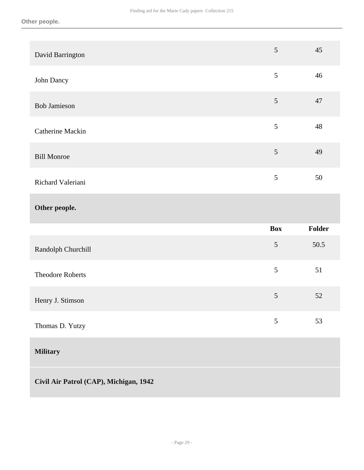| David Barrington        | 5              | 45     |
|-------------------------|----------------|--------|
| John Dancy              | 5              | 46     |
| <b>Bob Jamieson</b>     | 5              | 47     |
| Catherine Mackin        | 5              | 48     |
| <b>Bill Monroe</b>      | 5              | 49     |
| Richard Valeriani       | 5              | 50     |
| Other people.           |                |        |
|                         |                |        |
|                         | <b>Box</b>     | Folder |
| Randolph Churchill      | 5              | 50.5   |
| <b>Theodore Roberts</b> | 5              | 51     |
| Henry J. Stimson        | $\mathfrak{S}$ | 52     |
| Thomas D. Yutzy         | 5              | 53     |
| <b>Military</b>         |                |        |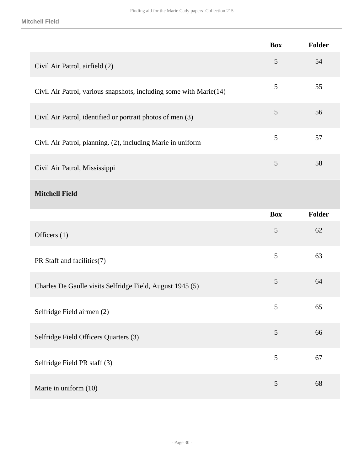|                                                                    | <b>Box</b>     | Folder        |
|--------------------------------------------------------------------|----------------|---------------|
| Civil Air Patrol, airfield (2)                                     | $\overline{5}$ | 54            |
| Civil Air Patrol, various snapshots, including some with Marie(14) | $\mathfrak{S}$ | 55            |
| Civil Air Patrol, identified or portrait photos of men (3)         | $\overline{5}$ | 56            |
| Civil Air Patrol, planning. (2), including Marie in uniform        | 5              | 57            |
| Civil Air Patrol, Mississippi                                      | $\overline{5}$ | 58            |
| <b>Mitchell Field</b>                                              |                |               |
|                                                                    | <b>Box</b>     | <b>Folder</b> |
| Officers $(1)$                                                     | $\mathfrak{S}$ | 62            |
| PR Staff and facilities(7)                                         | 5              | 63            |
| Charles De Gaulle visits Selfridge Field, August 1945 (5)          | $\overline{5}$ | 64            |
| Selfridge Field airmen (2)                                         | 5              | 65            |
| Selfridge Field Officers Quarters (3)                              | $\sqrt{5}$     | 66            |
| Selfridge Field PR staff (3)                                       | 5              | 67            |
| Marie in uniform (10)                                              | $\mathfrak{S}$ | 68            |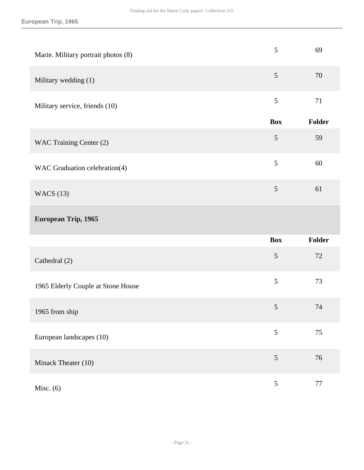| Marie. Military portrait photos (8) | $\mathfrak{S}$ | 69     |
|-------------------------------------|----------------|--------|
| Military wedding (1)                | 5              | 70     |
| Military service, friends (10)      | 5              | 71     |
|                                     | <b>Box</b>     | Folder |
| WAC Training Center (2)             | $\mathfrak{S}$ | 59     |
| WAC Graduation celebration(4)       | 5              | 60     |
| <b>WACS</b> (13)                    | 5              | 61     |
| European Trip, 1965                 |                |        |
|                                     | <b>Box</b>     | Folder |
| Cathedral (2)                       | 5              | 72     |
| 1965 Elderly Couple at Stone House  | 5              | 73     |
| 1965 from ship                      | 5              | 74     |
| European landscapes (10)            | 5              | 75     |
| Minack Theater (10)                 | $\mathfrak s$  | 76     |
|                                     |                |        |